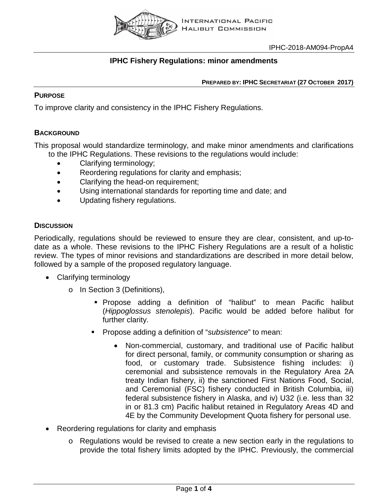

## **IPHC Fishery Regulations: minor amendments**

**PREPARED BY: IPHC SECRETARIAT (27 OCTOBER 2017)**

## **PURPOSE**

To improve clarity and consistency in the IPHC Fishery Regulations.

## **BACKGROUND**

This proposal would standardize terminology, and make minor amendments and clarifications to the IPHC Regulations. These revisions to the regulations would include:

- Clarifying terminology;
- Reordering regulations for clarity and emphasis;
- Clarifying the head-on requirement;
- Using international standards for reporting time and date; and
- Updating fishery regulations.

## **DISCUSSION**

Periodically, regulations should be reviewed to ensure they are clear, consistent, and up-todate as a whole. These revisions to the IPHC Fishery Regulations are a result of a holistic review. The types of minor revisions and standardizations are described in more detail below, followed by a sample of the proposed regulatory language.

- Clarifying terminology
	- o In Section 3 (Definitions),
		- Propose adding a definition of "halibut" to mean Pacific halibut (*Hippoglossus stenolepis*). Pacific would be added before halibut for further clarity.
		- Propose adding a definition of "*subsistence*" to mean:
			- Non-commercial, customary, and traditional use of Pacific halibut for direct personal, family, or community consumption or sharing as food, or customary trade. Subsistence fishing includes: i) ceremonial and subsistence removals in the Regulatory Area 2A treaty Indian fishery, ii) the sanctioned First Nations Food, Social, and Ceremonial (FSC) fishery conducted in British Columbia, iii) federal subsistence fishery in Alaska, and iv) U32 (i.e. less than 32 in or 81.3 cm) Pacific halibut retained in Regulatory Areas 4D and 4E by the Community Development Quota fishery for personal use.
- Reordering regulations for clarity and emphasis
	- o Regulations would be revised to create a new section early in the regulations to provide the total fishery limits adopted by the IPHC. Previously, the commercial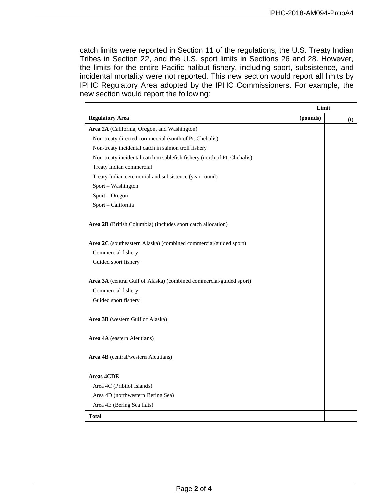catch limits were reported in Section 11 of the regulations, the U.S. Treaty Indian Tribes in Section 22, and the U.S. sport limits in Sections 26 and 28. However, the limits for the entire Pacific halibut fishery, including sport, subsistence, and incidental mortality were not reported. This new section would report all limits by IPHC Regulatory Area adopted by the IPHC Commissioners. For example, the new section would report the following:

|                                                                          | Limit    |     |
|--------------------------------------------------------------------------|----------|-----|
| <b>Regulatory Area</b>                                                   | (pounds) | (t) |
| Area 2A (California, Oregon, and Washington)                             |          |     |
| Non-treaty directed commercial (south of Pt. Chehalis)                   |          |     |
| Non-treaty incidental catch in salmon troll fishery                      |          |     |
| Non-treaty incidental catch in sablefish fishery (north of Pt. Chehalis) |          |     |
| Treaty Indian commercial                                                 |          |     |
| Treaty Indian ceremonial and subsistence (year-round)                    |          |     |
| Sport - Washington                                                       |          |     |
| Sport - Oregon                                                           |          |     |
| Sport - California                                                       |          |     |
| Area 2B (British Columbia) (includes sport catch allocation)             |          |     |
| Area 2C (southeastern Alaska) (combined commercial/guided sport)         |          |     |
| Commercial fishery                                                       |          |     |
| Guided sport fishery                                                     |          |     |
| Area 3A (central Gulf of Alaska) (combined commercial/guided sport)      |          |     |
| Commercial fishery                                                       |          |     |
| Guided sport fishery                                                     |          |     |
| Area 3B (western Gulf of Alaska)                                         |          |     |
| Area 4A (eastern Aleutians)                                              |          |     |
| <b>Area 4B</b> (central/western Aleutians)                               |          |     |
| <b>Areas 4CDE</b>                                                        |          |     |
| Area 4C (Pribilof Islands)                                               |          |     |
| Area 4D (northwestern Bering Sea)                                        |          |     |
| Area 4E (Bering Sea flats)                                               |          |     |
| <b>Total</b>                                                             |          |     |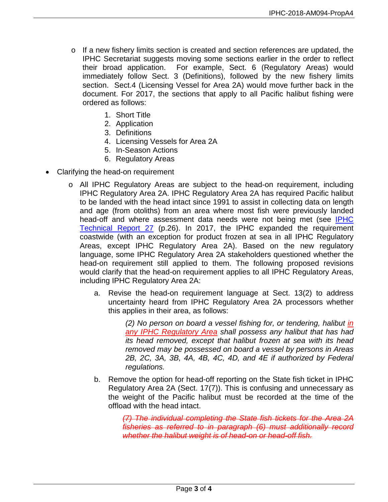- $\circ$  If a new fishery limits section is created and section references are updated, the IPHC Secretariat suggests moving some sections earlier in the order to reflect their broad application. For example, Sect. 6 (Regulatory Areas) would immediately follow Sect. 3 (Definitions), followed by the new fishery limits section. Sect.4 (Licensing Vessel for Area 2A) would move further back in the document. For 2017, the sections that apply to all Pacific halibut fishing were ordered as follows:
	- 1. Short Title
	- 2. Application
	- 3. Definitions
	- 4. Licensing Vessels for Area 2A
	- 5. In-Season Actions
	- 6. Regulatory Areas
- Clarifying the head-on requirement
	- o All IPHC Regulatory Areas are subject to the head-on requirement, including IPHC Regulatory Area 2A. IPHC Regulatory Area 2A has required Pacific halibut to be landed with the head intact since 1991 to assist in collecting data on length and age (from otoliths) from an area where most fish were previously landed head-off and where assessment data needs were not being met (see IPHC [Technical Report 27](http://www.iphc.int/publications/techrep/tech0027.pdf) (p.26). In 2017, the IPHC expanded the requirement coastwide (with an exception for product frozen at sea in all IPHC Regulatory Areas, except IPHC Regulatory Area 2A). Based on the new regulatory language, some IPHC Regulatory Area 2A stakeholders questioned whether the head-on requirement still applied to them. The following proposed revisions would clarify that the head-on requirement applies to all IPHC Regulatory Areas, including IPHC Regulatory Area 2A:
		- a. Revise the head-on requirement language at Sect. 13(2) to address uncertainty heard from IPHC Regulatory Area 2A processors whether this applies in their area, as follows:

*(2) No person on board a vessel fishing for, or tendering, halibut in any IPHC Regulatory Area shall possess any halibut that has had its head removed, except that halibut frozen at sea with its head removed may be possessed on board a vessel by persons in Areas 2B, 2C, 3A, 3B, 4A, 4B, 4C, 4D, and 4E if authorized by Federal regulations.*

b. Remove the option for head-off reporting on the State fish ticket in IPHC Regulatory Area 2A (Sect. 17(7)). This is confusing and unnecessary as the weight of the Pacific halibut must be recorded at the time of the offload with the head intact.

> *(7) The individual completing the State fish tickets for the Area 2A fisheries as referred to in paragraph (6) must additionally record whether the halibut weight is of head-on or head-off fish.*